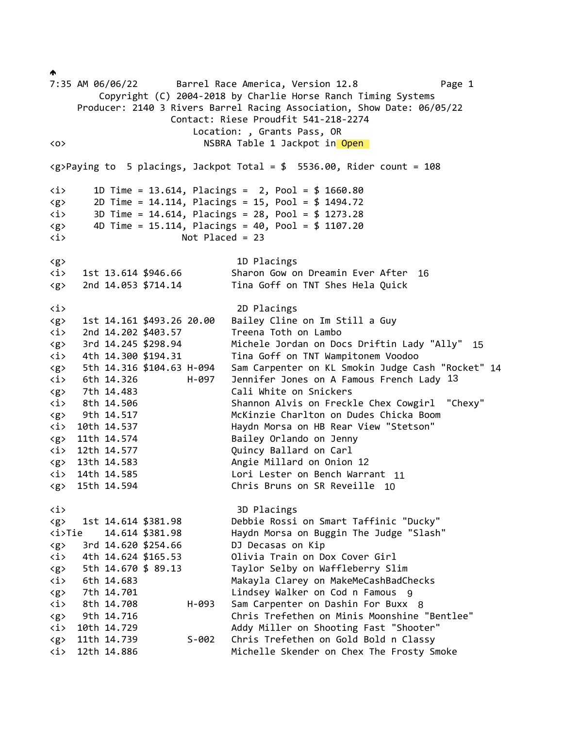$\blacklozenge$ 7:35 AM 06/06/22 Barrel Race America, Version 12.8 Page 1 Copyright (C) 2004-2018 by Charlie Horse Ranch Timing Systems Producer: 2140 3 Rivers Barrel Racing Association, Show Date: 06/05/22 Contact: Riese Proudfit 541-218-2274 Location: , Grants Pass, OR <o> NSBRA Table 1 Jackpot in Open <g>Paying to 5 placings, Jackpot Total = \$ 5536.00, Rider count = 108 <i> 1D Time = 13.614, Placings = 2, Pool = \$ 1660.80 <g> 2D Time = 14.114, Placings = 15, Pool = \$ 1494.72 <i> 3D Time = 14.614, Placings = 28, Pool = \$ 1273.28  $\langle g \rangle$  4D Time = 15.114, Placings = 40, Pool = \$ 1107.20 <i> Not Placed = 23 <g> 1D Placings <i> 1st 13.614 \$946.66 Sharon Gow on Dreamin Ever After <g> 2nd 14.053 \$714.14 Tina Goff on TNT Shes Hela Quick <i> 2D Placings <g> 1st 14.161 \$493.26 20.00 Bailey Cline on Im Still a Guy <i> 2nd 14.202 \$403.57 Treena Toth on Lambo <g> 3rd 14.245 \$298.94 Michele Jordan on Docs Driftin Lady "Ally" <i> 4th 14.300 \$194.31 Tina Goff on TNT Wampitonem Voodoo <g> 5th 14.316 \$104.63 H-094 Sam Carpenter on KL Smokin Judge Cash "Rocket" <i> 6th 14.326 H-097 Jennifer Jones on A Famous French Lady 13 <g> 7th 14.483 Cali White on Snickers <i> 8th 14.506 Shannon Alvis on Freckle Chex Cowgirl "Chexy" <g> 9th 14.517 McKinzie Charlton on Dudes Chicka Boom <i> 10th 14.537 Haydn Morsa on HB Rear View "Stetson" <g> 11th 14.574 Bailey Orlando on Jenny <i> 12th 14.577 Quincy Ballard on Carl <g> 13th 14.583 Angie Millard on Onion <i> 14th 14.585 Lori Lester on Bench Warrant <g> 15th 14.594 Chris Bruns on SR Reveille <i> 3D Placings <g> 1st 14.614 \$381.98 Debbie Rossi on Smart Taffinic "Ducky" <i>Tie 14.614 \$381.98 Haydn Morsa on Buggin The Judge "Slash" <g> 3rd 14.620 \$254.66 DJ Decasas on Kip <i> 4th 14.624 \$165.53 Olivia Train on Dox Cover Girl <g> 5th 14.670 \$ 89.13 Taylor Selby on Waffleberry Slim <i> 6th 14.683 Makayla Clarey on MakeMeCashBadChecks <g> 7th 14.701 Lindsey Walker on Cod n Famous 9 <i> 8th 14.708 H-093 Sam Carpenter on Dashin For Buxx 8 <g> 9th 14.716 Chris Trefethen on Minis Moonshine "Bentlee" <i> 10th 14.729 Addy Miller on Shooting Fast "Shooter" <g> 11th 14.739 S-002 Chris Trefethen on Gold Bold n Classy <i> 12th 14.886 Michelle Skender on Chex The Frosty Smoke 12<br>rrant 11<br>lle 10 16<br>y "Ally" 15<br>'<br>ash "Rocket" 14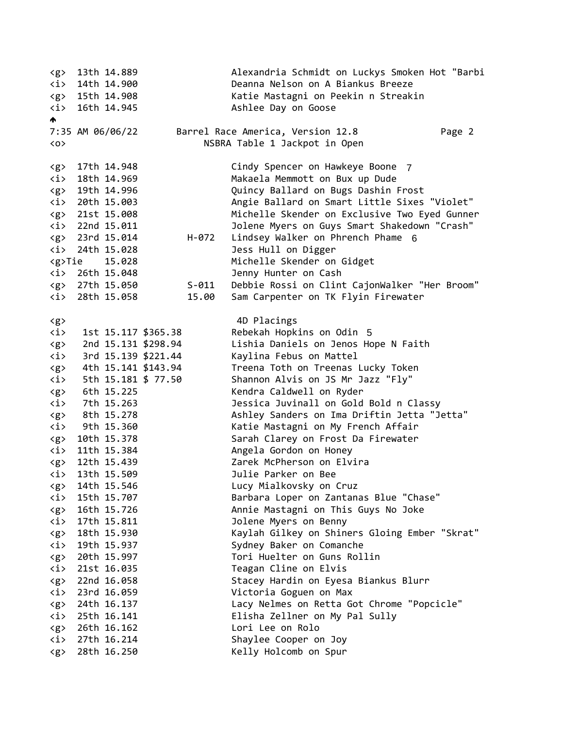<g> 13th 14.889 Alexandria Schmidt on Luckys Smoken Hot "Barbi <i> 14th 14.900 Deanna Nelson on A Biankus Breeze <g> 15th 14.908 Katie Mastagni on Peekin n Streakin <i> 16th 14.945 Ashlee Day on Goose A 7:35 AM 06/06/22 Barrel Race America, Version 12.8 Page 2 <o> NSBRA Table 1 Jackpot in Open <g> 17th 14.948 Cindy Spencer on Hawkeye Boone 7<i> 18th 14.969 Makaela Memmott on Bux up Dude <g> 19th 14.996 Quincy Ballard on Bugs Dashin Frost <i> 20th 15.003 Angie Ballard on Smart Little Sixes "Violet" <g> 21st 15.008 Michelle Skender on Exclusive Two Eyed Gunner <i> 22nd 15.011 Jolene Myers on Guys Smart Shakedown "Crash" <g> 23rd 15.014 H-072 Lindsey Walker on Phrench Phame 6 <i> 24th 15.028 Jess Hull on Digger <g>Tie 15.028 Michelle Skender on Gidget <i> 26th 15.048 Jenny Hunter on Cash <g> 27th 15.050 S-011 Debbie Rossi on Clint CajonWalker "Her Broom" <i> 28th 15.058 15.00 Sam Carpenter on TK Flyin Firewater <g> 4D Placings <i> 1st 15.117 \$365.38 Rebekah Hopkins on Odin 5 <g> 2nd 15.131 \$298.94 Lishia Daniels on Jenos Hope N Faith <i> 3rd 15.139 \$221.44 Kaylina Febus on Mattel <g> 4th 15.141 \$143.94 Treena Toth on Treenas Lucky Token <i> 5th 15.181 \$ 77.50 Shannon Alvis on JS Mr Jazz "Fly" <g> 6th 15.225 Kendra Caldwell on Ryder <i> 7th 15.263 Jessica Juvinall on Gold Bold n Classy <g> 8th 15.278 Ashley Sanders on Ima Driftin Jetta "Jetta" <i> 9th 15.360 Katie Mastagni on My French Affair <g> 10th 15.378 Sarah Clarey on Frost Da Firewater <i> 11th 15.384 Angela Gordon on Honey <g> 12th 15.439 Zarek McPherson on Elvira <i> 13th 15.509 Julie Parker on Bee <g> 14th 15.546 Lucy Mialkovsky on Cruz <i> 15th 15.707 Barbara Loper on Zantanas Blue "Chase" <g> 16th 15.726 Annie Mastagni on This Guys No Joke <i> 17th 15.811 Jolene Myers on Benny <g> 18th 15.930 Kaylah Gilkey on Shiners Gloing Ember "Skrat" <i> 19th 15.937 Sydney Baker on Comanche <g> 20th 15.997 Tori Huelter on Guns Rollin <i> 21st 16.035 Teagan Cline on Elvis <g> 22nd 16.058 Stacey Hardin on Eyesa Biankus Blurr <i> 23rd 16.059 Victoria Goguen on Max <g> 24th 16.137 Lacy Nelmes on Retta Got Chrome "Popcicle" <i> 25th 16.141 Elisha Zellner on My Pal Sully <g> 26th 16.162 Lori Lee on Rolo <i> 27th 16.214 Shaylee Cooper on Joy <g> 28th 16.250 Kelly Holcomb on Spur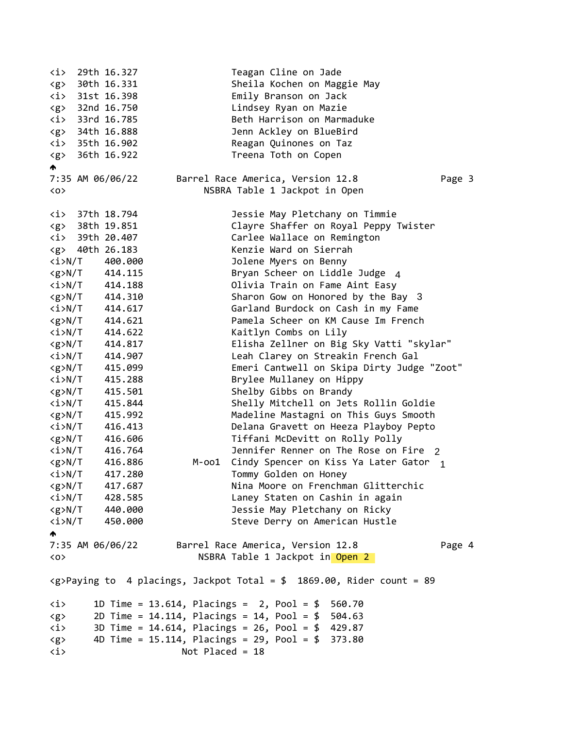<i> 29th 16.327 Teagan Cline on Jade <g> 30th 16.331 Sheila Kochen on Maggie May <i> 31st 16.398 Emily Branson on Jack <g> 32nd 16.750 Lindsey Ryan on Mazie <i> 33rd 16.785 Beth Harrison on Marmaduke <g> 34th 16.888 Jenn Ackley on BlueBird <i> 35th 16.902 Reagan Quinones on Taz <g> 36th 16.922 Treena Toth on Copen ₳ 7:35 AM 06/06/22 Barrel Race America, Version 12.8 Page 3 <o> NSBRA Table 1 Jackpot in Open <i> 37th 18.794 Jessie May Pletchany on Timmie <g> 38th 19.851 Clayre Shaffer on Royal Peppy Twister <i> 39th 20.407 Carlee Wallace on Remington <g> 40th 26.183 Kenzie Ward on Sierrah <i>N/T 400.000 Jolene Myers on Benny <g>N/T 414.115 Bryan Scheer on Liddle Judge 4<i>N/T 414.188 Olivia Train on Fame Aint Easy <g>N/T 414.310 Sharon Gow on Honored by the Bay 3 <i>N/T 414.617 Garland Burdock on Cash in my Fame <g>N/T 414.621 Pamela Scheer on KM Cause Im French <i>N/T 414.622 Kaitlyn Combs on Lily <g>N/T 414.817 Elisha Zellner on Big Sky Vatti "skylar" <i>N/T 414.907 Leah Clarey on Streakin French Gal <g>N/T 415.099 Emeri Cantwell on Skipa Dirty Judge "Zoot" <i>N/T 415.288 Brylee Mullaney on Hippy <g>N/T 415.501 Shelby Gibbs on Brandy <i>N/T 415.844 Shelly Mitchell on Jets Rollin Goldie <g>N/T 415.992 Madeline Mastagni on This Guys Smooth <i>N/T 416.413 Delana Gravett on Heeza Playboy Pepto <g>N/T 416.606 Tiffani McDevitt on Rolly Polly <i>N/T 416.764 Jennifer Renner on The Rose on Fire 2 <g>N/T 416.886 M-oo1 Cindy Spencer on Kiss Ya Later Gator 1 <i>N/T 417.280 Tommy Golden on Honey <g>N/T 417.687 Nina Moore on Frenchman Glitterchic <i>N/T 428.585 Laney Staten on Cashin in again <g>N/T 440.000 Jessie May Pletchany on Ricky <i>N/T 450.000 Steve Derry on American Hustle  $\blacktriangle$ 7:35 AM 06/06/22 Barrel Race America, Version 12.8 Page 4 <o> NSBRA Table 1 Jackpot in Open 2  $\langle g \rangle$ Paying to 4 placings, Jackpot Total = \$ 1869.00, Rider count = 89 <i> 1D Time = 13.614, Placings = 2, Pool = \$ 560.70 <g> 2D Time = 14.114, Placings = 14, Pool = \$ 504.63 <i> 3D Time = 14.614, Placings = 26, Pool = \$ 429.87 <g> 4D Time = 15.114, Placings = 29, Pool = \$ 373.80 <i> Not Placed = 18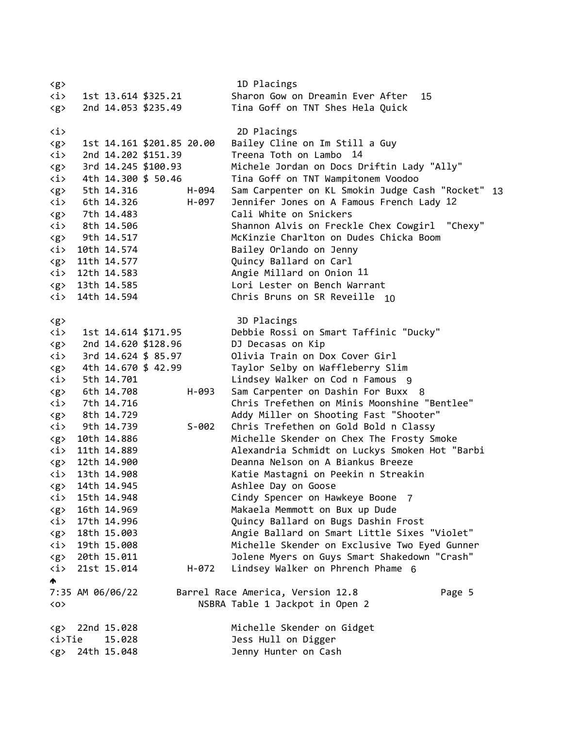<g> 1D Placings <i> 1st 13.614 \$325.21 Sharon Gow on Dreamin Ever After <g> 2nd 14.053 \$235.49 Tina Goff on TNT Shes Hela Quick <i> 2D Placings <g> 1st 14.161 \$201.85 20.00 Bailey Cline on Im Still a Guy <i> 2nd 14.202 \$151.39 Treena Toth on Lambo <g> 3rd 14.245 \$100.93 Michele Jordan on Docs Driftin Lady "Ally" <i> 4th 14.300 \$ 50.46 Tina Goff on TNT Wampitonem Voodoo <g> 5th 14.316 H-094 Sam Carpenter on KL Smokin Judge Cash "Rocket" <i> 6th 14.326 H-097 Jennifer Jones on A Famous French Lady <g> 7th 14.483 Cali White on Snickers <i> 8th 14.506 Shannon Alvis on Freckle Chex Cowgirl "Chexy" <g> 9th 14.517 McKinzie Charlton on Dudes Chicka Boom <i> 10th 14.574 Bailey Orlando on Jenny <g> 11th 14.577 Quincy Ballard on Carl <i> 12th 14.583 Angie Millard on Onion <g> 13th 14.585 Lori Lester on Bench Warrant <i> 14th 14.594 Chris Bruns on SR Reveille <g> 3D Placings <i> 1st 14.614 \$171.95 Debbie Rossi on Smart Taffinic "Ducky" <g> 2nd 14.620 \$128.96 DJ Decasas on Kip <i> 3rd 14.624 \$ 85.97 Olivia Train on Dox Cover Girl <g> 4th 14.670 \$ 42.99 Taylor Selby on Waffleberry Slim <i> 5th 14.701 Lindsey Walker on Cod n Famous 9 <g> 6th 14.708 H-093 Sam Carpenter on Dashin For Buxx 8 <i> 7th 14.716 Chris Trefethen on Minis Moonshine "Bentlee" <g> 8th 14.729 Addy Miller on Shooting Fast "Shooter" <i> 9th 14.739 S-002 Chris Trefethen on Gold Bold n Classy <g> 10th 14.886 Michelle Skender on Chex The Frosty Smoke <i> 11th 14.889 Alexandria Schmidt on Luckys Smoken Hot "Barbi <g> 12th 14.900 Deanna Nelson on A Biankus Breeze <i> 13th 14.908 Katie Mastagni on Peekin n Streakin <g> 14th 14.945 Ashlee Day on Goose <i> 15th 14.948 Cindy Spencer on Hawkeye Boone 7 <g> 16th 14.969 Makaela Memmott on Bux up Dude <i> 17th 14.996 Quincy Ballard on Bugs Dashin Frost <g> 18th 15.003 Angie Ballard on Smart Little Sixes "Violet" <i> 19th 15.008 Michelle Skender on Exclusive Two Eyed Gunner <g> 20th 15.011 Jolene Myers on Guys Smart Shakedown "Crash" <i> 21st 15.014 H-072 Lindsey Walker on Phrench Phame 6  $\blacktriangle$ 7:35 AM 06/06/22 Barrel Race America, Version 12.8 Page 5 <o> NSBRA Table 1 Jackpot in Open 2 <g> 22nd 15.028 Michelle Skender on Gidget <i>Tie 15.028 Jess Hull on Digger <g> 24th 15.048 Jenny Hunter on Cash Ever After<br>
Hela Quick<br>
11 a Guy<br>
14<br>
Driftin Lady "Ally"<br>
tonem Voodoo<br>
okin Judge Cash "Rocket" 13<br>
mous French Lady 12<br>
le Chex Cowgirl "Chexy"<br>
udes Chicka Boom<br>
y<br>
11<br>
arrant<br>
ille 10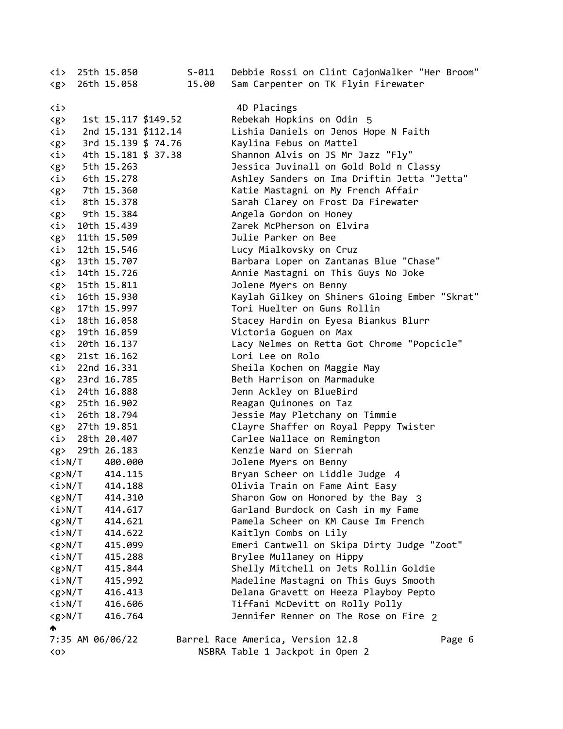| <i><br/><math>\langle g \rangle</math></i> | 25th 15.050<br>26th 15.058      |                     | $S-011$<br>15.00 | Debbie Rossi on Clint CajonWalker "Her Broom"<br>Sam Carpenter on TK Flyin Firewater |
|--------------------------------------------|---------------------------------|---------------------|------------------|--------------------------------------------------------------------------------------|
| $\langle i \rangle$                        |                                 |                     |                  | 4D Placings                                                                          |
|                                            |                                 | 1st 15.117 \$149.52 |                  | Rebekah Hopkins on Odin 5                                                            |
| $\langle g \rangle$<br>$\langle i \rangle$ |                                 | 2nd 15.131 \$112.14 |                  | Lishia Daniels on Jenos Hope N Faith                                                 |
| $\langle g \rangle$                        |                                 | 3rd 15.139 \$ 74.76 |                  | Kaylina Febus on Mattel                                                              |
| <i></i>                                    |                                 | 4th 15.181 \$ 37.38 |                  | Shannon Alvis on JS Mr Jazz "Fly"                                                    |
| $\langle g \rangle$                        | 5th 15.263                      |                     |                  | Jessica Juvinall on Gold Bold n Classy                                               |
| $\langle i \rangle$                        | 6th 15.278                      |                     |                  | Ashley Sanders on Ima Driftin Jetta "Jetta"                                          |
| $\langle g \rangle$                        | 7th 15.360                      |                     |                  | Katie Mastagni on My French Affair                                                   |
| <i></i>                                    | 8th 15.378                      |                     |                  | Sarah Clarey on Frost Da Firewater                                                   |
| $\langle g \rangle$                        | 9th 15.384                      |                     |                  | Angela Gordon on Honey                                                               |
| <i></i>                                    | 10th 15.439                     |                     |                  | Zarek McPherson on Elvira                                                            |
| $\langle g \rangle$                        | 11th 15.509                     |                     |                  | Julie Parker on Bee                                                                  |
| <i></i>                                    | 12th 15.546                     |                     |                  | Lucy Mialkovsky on Cruz                                                              |
|                                            | <g> 13th 15.707</g>             |                     |                  | Barbara Loper on Zantanas Blue "Chase"                                               |
|                                            | $\langle i \rangle$ 14th 15.726 |                     |                  | Annie Mastagni on This Guys No Joke                                                  |
|                                            | <g> 15th 15.811</g>             |                     |                  | Jolene Myers on Benny                                                                |
|                                            | $\langle i \rangle$ 16th 15.930 |                     |                  | Kaylah Gilkey on Shiners Gloing Ember "Skrat"                                        |
| $\langle g \rangle$                        | 17th 15.997                     |                     |                  | Tori Huelter on Guns Rollin                                                          |
|                                            | $\langle i \rangle$ 18th 16.058 |                     |                  | Stacey Hardin on Eyesa Biankus Blurr                                                 |
| $\langle g \rangle$                        | 19th 16.059                     |                     |                  | Victoria Goguen on Max                                                               |
|                                            | $\langle i \rangle$ 20th 16.137 |                     |                  | Lacy Nelmes on Retta Got Chrome "Popcicle"                                           |
|                                            | <g> 21st 16.162</g>             |                     |                  | Lori Lee on Rolo                                                                     |
|                                            | $\langle i \rangle$ 22nd 16.331 |                     |                  | Sheila Kochen on Maggie May                                                          |
|                                            | <g> 23rd 16.785</g>             |                     |                  | Beth Harrison on Marmaduke                                                           |
|                                            | $\langle i \rangle$ 24th 16.888 |                     |                  | Jenn Ackley on BlueBird                                                              |
|                                            | <g> 25th 16.902</g>             |                     |                  | Reagan Quinones on Taz                                                               |
|                                            | $\langle i \rangle$ 26th 18.794 |                     |                  | Jessie May Pletchany on Timmie                                                       |
|                                            | <g> 27th 19.851</g>             |                     |                  | Clayre Shaffer on Royal Peppy Twister                                                |
|                                            | $\langle i \rangle$ 28th 20.407 |                     |                  | Carlee Wallace on Remington                                                          |
|                                            | <g> 29th 26.183</g>             |                     |                  | Kenzie Ward on Sierrah                                                               |
| <i>N/T</i>                                 | 400.000                         |                     |                  | Jolene Myers on Benny                                                                |
|                                            | $\langle g \rangle N/T$ 414.115 |                     |                  | Bryan Scheer on Liddle Judge 4                                                       |
| $\langle i \rangle N/T$                    | 414.188                         |                     |                  | Olivia Train on Fame Aint Easy                                                       |
| $\langle g \rangle N/T$                    | 414.310                         |                     |                  | Sharon Gow on Honored by the Bay 3                                                   |
| <i>N/T</i>                                 | 414.617                         |                     |                  | Garland Burdock on Cash in my Fame                                                   |
| $\langle g \rangle N/T$                    | 414.621                         |                     |                  | Pamela Scheer on KM Cause Im French                                                  |
| <i>N/T</i>                                 | 414.622                         |                     |                  | Kaitlyn Combs on Lily                                                                |
| $<$ g>N/T                                  | 415.099                         |                     |                  | Emeri Cantwell on Skipa Dirty Judge "Zoot"                                           |
| $\langle i \rangle N/T$                    | 415.288                         |                     |                  | Brylee Mullaney on Hippy                                                             |
| $\langle g \rangle N/T$                    | 415.844                         |                     |                  | Shelly Mitchell on Jets Rollin Goldie                                                |
| <i>N/T</i>                                 | 415.992                         |                     |                  | Madeline Mastagni on This Guys Smooth                                                |
| $\langle g \rangle N/T$                    | 416.413                         |                     |                  | Delana Gravett on Heeza Playboy Pepto                                                |
| $\langle i \rangle N/T$                    | 416.606                         |                     |                  | Tiffani McDevitt on Rolly Polly                                                      |
| $\langle g \rangle N/T$                    | 416.764                         |                     |                  | Jennifer Renner on The Rose on Fire 2                                                |
|                                            | 7:35 AM 06/06/22                |                     |                  | Barrel Race America, Version 12.8                                                    |
| $\langle$ 0 $\rangle$                      |                                 |                     |                  | Page 6<br>NSBRA Table 1 Jackpot in Open 2                                            |
|                                            |                                 |                     |                  |                                                                                      |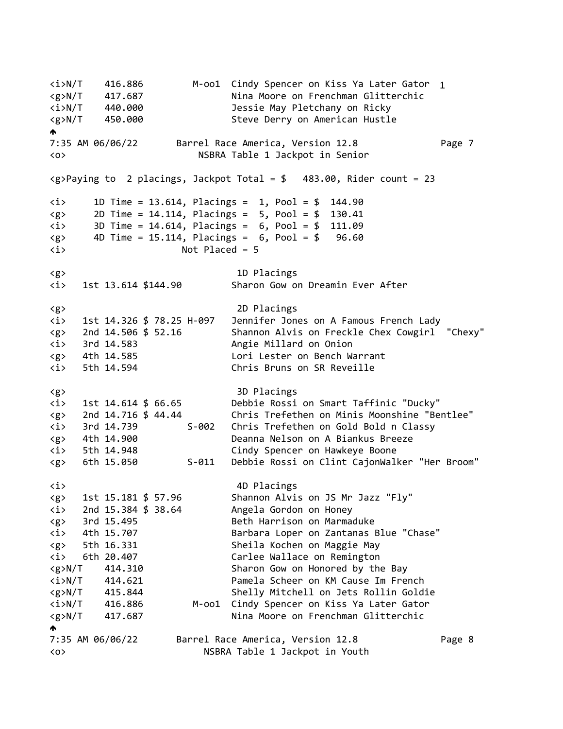<i>N/T 416.886 M-oo1 Cindy Spencer on Kiss Ya Later Gator 1<g>N/T 417.687 Nina Moore on Frenchman Glitterchic <i>N/T 440.000 Jessie May Pletchany on Ricky <g>N/T 450.000 Steve Derry on American Hustle  $\blacktriangle$ 7:35 AM 06/06/22 Barrel Race America, Version 12.8 Page 7 <o> NSBRA Table 1 Jackpot in Senior  $\langle g \rangle$ Paying to 2 placings, Jackpot Total = \$ 483.00, Rider count = 23 <i> 1D Time = 13.614, Placings = 1, Pool = \$ 144.90 <g> 2D Time = 14.114, Placings = 5, Pool = \$ 130.41 <i> 3D Time = 14.614, Placings = 6, Pool = \$ 111.09  $\langle g \rangle$  4D Time = 15.114, Placings = 6, Pool = \$ 96.60 <i> Not Placed = 5 <g> 1D Placings <i> 1st 13.614 \$144.90 Sharon Gow on Dreamin Ever After <g> 2D Placings <i> 1st 14.326 \$ 78.25 H-097 Jennifer Jones on A Famous French Lady <g> 2nd 14.506 \$ 52.16 Shannon Alvis on Freckle Chex Cowgirl "Chexy" <i> 3rd 14.583 Angie Millard on Onion <g> 4th 14.585 Lori Lester on Bench Warrant <i> 5th 14.594 Chris Bruns on SR Reveille <g> 3D Placings <i> 1st 14.614 \$ 66.65 Debbie Rossi on Smart Taffinic "Ducky" <g> 2nd 14.716 \$ 44.44 Chris Trefethen on Minis Moonshine "Bentlee" <i> 3rd 14.739 S-002 Chris Trefethen on Gold Bold n Classy <g> 4th 14.900 Deanna Nelson on A Biankus Breeze <i> 5th 14.948 Cindy Spencer on Hawkeye Boone <g> 6th 15.050 S-011 Debbie Rossi on Clint CajonWalker "Her Broom" <i> 4D Placings  $\langle g \rangle$  1st 15.181 \$ 57.96 Shannon Alvis on JS Mr Jazz "Fly"  $\langle i \rangle$  2nd 15.384 \$ 38.64 Angela Gordon on Honey <g> 3rd 15.495 Beth Harrison on Marmaduke <i> 4th 15.707 Barbara Loper on Zantanas Blue "Chase" <g> 5th 16.331 Sheila Kochen on Maggie May <i> 6th 20.407 Carlee Wallace on Remington <g>N/T 414.310 Sharon Gow on Honored by the Bay <i>N/T 414.621 Pamela Scheer on KM Cause Im French <g>N/T 415.844 Shelly Mitchell on Jets Rollin Goldie <i>N/T 416.886 M-oo1 Cindy Spencer on Kiss Ya Later Gator <g>N/T 417.687 Nina Moore on Frenchman Glitterchic  $\blacktriangle$ 7:35 AM 06/06/22 Barrel Race America, Version 12.8 Page 8 <o> NSBRA Table 1 Jackpot in Youth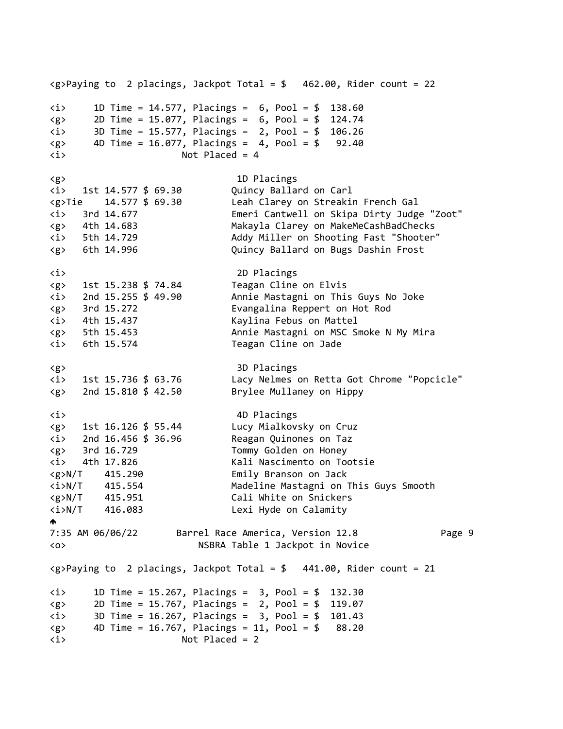<g>Paying to 2 placings, Jackpot Total = \$ 462.00, Rider count = 22 <i> 1D Time = 14.577, Placings = 6, Pool = \$ 138.60  $\langle g \rangle$  2D Time = 15.077, Placings = 6, Pool = \$ 124.74 <i> 3D Time = 15.577, Placings = 2, Pool = \$ 106.26  $\langle g \rangle$  4D Time = 16.077, Placings = 4, Pool = \$ 92.40 <i> Not Placed = 4 <g> 1D Placings <i> 1st 14.577 \$ 69.30 Quincy Ballard on Carl <g>Tie 14.577 \$ 69.30 Leah Clarey on Streakin French Gal <i> 3rd 14.677 Emeri Cantwell on Skipa Dirty Judge "Zoot" <g> 4th 14.683 Makayla Clarey on MakeMeCashBadChecks <i> 5th 14.729 Addy Miller on Shooting Fast "Shooter" <g> 6th 14.996 Quincy Ballard on Bugs Dashin Frost <i> 2D Placings <g> 1st 15.238 \$ 74.84 Teagan Cline on Elvis <i> 2nd 15.255 \$ 49.90 Annie Mastagni on This Guys No Joke <g> 3rd 15.272 Evangalina Reppert on Hot Rod <i> 4th 15.437 Kaylina Febus on Mattel <g> 5th 15.453 Annie Mastagni on MSC Smoke N My Mira <i> 6th 15.574 Teagan Cline on Jade <g> 3D Placings <i> 1st 15.736 \$ 63.76 Lacy Nelmes on Retta Got Chrome "Popcicle" <g> 2nd 15.810 \$ 42.50 Brylee Mullaney on Hippy <i> 4D Placings <g> 1st 16.126 \$ 55.44 Lucy Mialkovsky on Cruz <i> 2nd 16.456 \$ 36.96 Reagan Quinones on Taz <g> 3rd 16.729 Tommy Golden on Honey <i> 4th 17.826 Kali Nascimento on Tootsie <g>N/T 415.290 Emily Branson on Jack <i>N/T 415.554 Madeline Mastagni on This Guys Smooth <g>N/T 415.951 Cali White on Snickers <i>N/T 416.083 Lexi Hyde on Calamity  $\blacklozenge$ 7:35 AM 06/06/22 Barrel Race America, Version 12.8 Page 9 <o> NSBRA Table 1 Jackpot in Novice  $\langle g \rangle$ Paying to 2 placings, Jackpot Total = \$ 441.00, Rider count = 21 <i> 1D Time = 15.267, Placings = 3, Pool = \$ 132.30 <g> 2D Time = 15.767, Placings = 2, Pool = \$ 119.07 <i> 3D Time = 16.267, Placings = 3, Pool = \$ 101.43  $\langle g \rangle$  4D Time = 16.767, Placings = 11, Pool = \$ 88.20 <i> Not Placed = 2